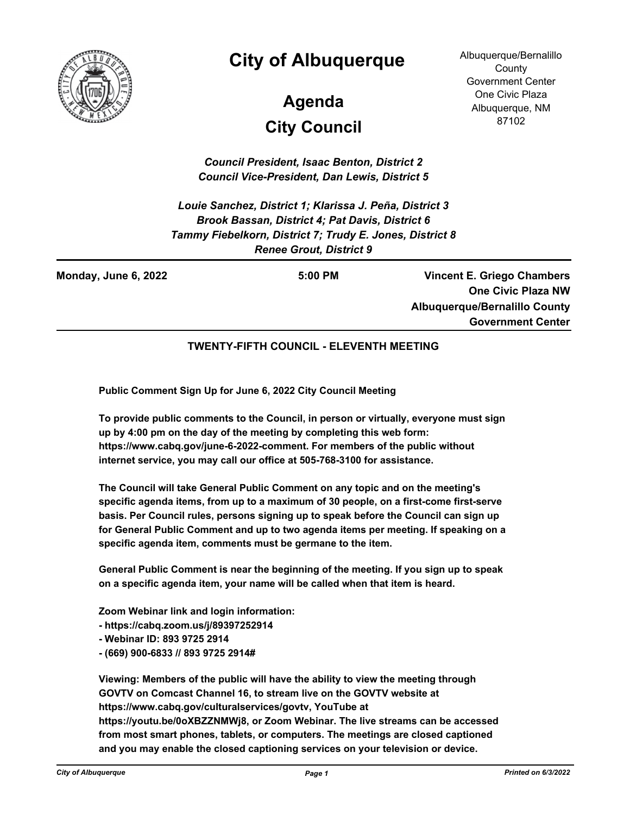

## **City of Albuquerque**

# **City Council Agenda**

Albuquerque/Bernalillo **County** Government Center One Civic Plaza Albuquerque, NM 87102

*Council President, Isaac Benton, District 2 Council Vice-President, Dan Lewis, District 5*

*Louie Sanchez, District 1; Klarissa J. Peña, District 3 Brook Bassan, District 4; Pat Davis, District 6 Tammy Fiebelkorn, District 7; Trudy E. Jones, District 8 Renee Grout, District 9*

**Monday, June 6, 2022 5:00 PM**

**Vincent E. Griego Chambers One Civic Plaza NW Albuquerque/Bernalillo County Government Center**

#### **TWENTY-FIFTH COUNCIL - ELEVENTH MEETING**

**Public Comment Sign Up for June 6, 2022 City Council Meeting**

**To provide public comments to the Council, in person or virtually, everyone must sign up by 4:00 pm on the day of the meeting by completing this web form: https://www.cabq.gov/june-6-2022-comment. For members of the public without internet service, you may call our office at 505-768-3100 for assistance.**

**The Council will take General Public Comment on any topic and on the meeting's specific agenda items, from up to a maximum of 30 people, on a first-come first-serve basis. Per Council rules, persons signing up to speak before the Council can sign up for General Public Comment and up to two agenda items per meeting. If speaking on a specific agenda item, comments must be germane to the item.**

**General Public Comment is near the beginning of the meeting. If you sign up to speak on a specific agenda item, your name will be called when that item is heard.**

**Zoom Webinar link and login information:**

**- https://cabq.zoom.us/j/89397252914** 

- **Webinar ID: 893 9725 2914**
- **(669) 900-6833 // 893 9725 2914#**

**Viewing: Members of the public will have the ability to view the meeting through GOVTV on Comcast Channel 16, to stream live on the GOVTV website at https://www.cabq.gov/culturalservices/govtv, YouTube at https://youtu.be/0oXBZZNMWj8, or Zoom Webinar. The live streams can be accessed from most smart phones, tablets, or computers. The meetings are closed captioned and you may enable the closed captioning services on your television or device.**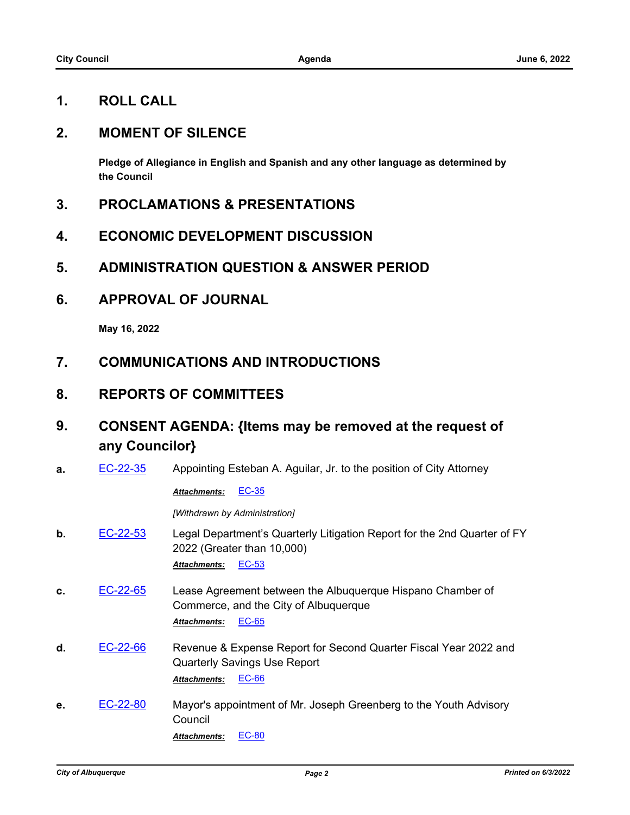## **1. ROLL CALL**

#### **2. MOMENT OF SILENCE**

**Pledge of Allegiance in English and Spanish and any other language as determined by the Council**

- **3. PROCLAMATIONS & PRESENTATIONS**
- **4. ECONOMIC DEVELOPMENT DISCUSSION**
- **5. ADMINISTRATION QUESTION & ANSWER PERIOD**
- **6. APPROVAL OF JOURNAL**

**May 16, 2022**

- **7. COMMUNICATIONS AND INTRODUCTIONS**
- **8. REPORTS OF COMMITTEES**
- **9. CONSENT AGENDA: {Items may be removed at the request of any Councilor}**
- **a.** [EC-22-35](http://cabq.legistar.com/gateway.aspx?m=l&id=/matter.aspx?key=12823) Appointing Esteban A. Aguilar, Jr. to the position of City Attorney

#### *Attachments:* [EC-35](http://cabq.legistar.com/gateway.aspx?M=F&ID=203d8ba1-dfcf-4ae0-bec9-8dde4573157a.pdf)

*[Withdrawn by Administration]*

- **b.** [EC-22-53](http://cabq.legistar.com/gateway.aspx?m=l&id=/matter.aspx?key=12868) Legal Department's Quarterly Litigation Report for the 2nd Quarter of FY 2022 (Greater than 10,000) *Attachments:* [EC-53](http://cabq.legistar.com/gateway.aspx?M=F&ID=525c9f4d-569a-4616-a325-c43334b399af.pdf)
- **c.** [EC-22-65](http://cabq.legistar.com/gateway.aspx?m=l&id=/matter.aspx?key=12892) Lease Agreement between the Albuquerque Hispano Chamber of Commerce, and the City of Albuquerque *Attachments:* [EC-65](http://cabq.legistar.com/gateway.aspx?M=F&ID=b9a3aabb-a79b-4523-b7cd-d6be033f0a6f.pdf)
- **d.** [EC-22-66](http://cabq.legistar.com/gateway.aspx?m=l&id=/matter.aspx?key=12893) Revenue & Expense Report for Second Quarter Fiscal Year 2022 and Quarterly Savings Use Report *Attachments:* [EC-66](http://cabq.legistar.com/gateway.aspx?M=F&ID=ef24c30d-22de-436a-a073-26c82a9f52ad.pdf)
- **e.** [EC-22-80](http://cabq.legistar.com/gateway.aspx?m=l&id=/matter.aspx?key=12927) Mayor's appointment of Mr. Joseph Greenberg to the Youth Advisory Council

*Attachments:* [EC-80](http://cabq.legistar.com/gateway.aspx?M=F&ID=97f9f34e-4c0b-4256-bb31-b4a37cba25f8.pdf)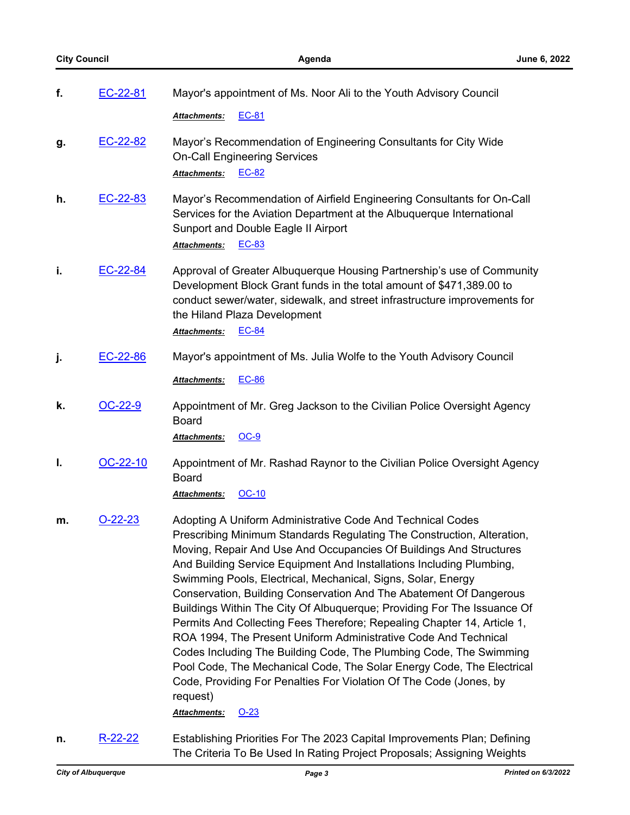| f. | EC-22-81  | Mayor's appointment of Ms. Noor Ali to the Youth Advisory Council                                                                                                                                                                                                                                                                                                                                                                                                                                                                                                                                                                                                                                                                                                                                                                                                                                            |
|----|-----------|--------------------------------------------------------------------------------------------------------------------------------------------------------------------------------------------------------------------------------------------------------------------------------------------------------------------------------------------------------------------------------------------------------------------------------------------------------------------------------------------------------------------------------------------------------------------------------------------------------------------------------------------------------------------------------------------------------------------------------------------------------------------------------------------------------------------------------------------------------------------------------------------------------------|
|    |           | EC-81<br>Attachments:                                                                                                                                                                                                                                                                                                                                                                                                                                                                                                                                                                                                                                                                                                                                                                                                                                                                                        |
| g. | EC-22-82  | Mayor's Recommendation of Engineering Consultants for City Wide<br><b>On-Call Engineering Services</b><br>EC-82<br>Attachments:                                                                                                                                                                                                                                                                                                                                                                                                                                                                                                                                                                                                                                                                                                                                                                              |
| h. | EC-22-83  | Mayor's Recommendation of Airfield Engineering Consultants for On-Call<br>Services for the Aviation Department at the Albuquerque International<br>Sunport and Double Eagle II Airport<br>Attachments: EC-83                                                                                                                                                                                                                                                                                                                                                                                                                                                                                                                                                                                                                                                                                                 |
| j. | EC-22-84  | Approval of Greater Albuquerque Housing Partnership's use of Community<br>Development Block Grant funds in the total amount of \$471,389.00 to<br>conduct sewer/water, sidewalk, and street infrastructure improvements for<br>the Hiland Plaza Development<br>Attachments:<br><b>EC-84</b>                                                                                                                                                                                                                                                                                                                                                                                                                                                                                                                                                                                                                  |
| j. | EC-22-86  | Mayor's appointment of Ms. Julia Wolfe to the Youth Advisory Council                                                                                                                                                                                                                                                                                                                                                                                                                                                                                                                                                                                                                                                                                                                                                                                                                                         |
|    |           | Attachments:<br><b>EC-86</b>                                                                                                                                                                                                                                                                                                                                                                                                                                                                                                                                                                                                                                                                                                                                                                                                                                                                                 |
| k. | OC-22-9   | Appointment of Mr. Greg Jackson to the Civilian Police Oversight Agency<br><b>Board</b>                                                                                                                                                                                                                                                                                                                                                                                                                                                                                                                                                                                                                                                                                                                                                                                                                      |
|    |           | <u>OC-9</u><br><u> Attachments:</u>                                                                                                                                                                                                                                                                                                                                                                                                                                                                                                                                                                                                                                                                                                                                                                                                                                                                          |
| ı. | OC-22-10  | Appointment of Mr. Rashad Raynor to the Civilian Police Oversight Agency<br>Board<br>OC-10<br>Attachments:                                                                                                                                                                                                                                                                                                                                                                                                                                                                                                                                                                                                                                                                                                                                                                                                   |
| m. | $O-22-23$ | Adopting A Uniform Administrative Code And Technical Codes<br>Prescribing Minimum Standards Regulating The Construction, Alteration,<br>Moving, Repair And Use And Occupancies Of Buildings And Structures<br>And Building Service Equipment And Installations Including Plumbing,<br>Swimming Pools, Electrical, Mechanical, Signs, Solar, Energy<br>Conservation, Building Conservation And The Abatement Of Dangerous<br>Buildings Within The City Of Albuquerque; Providing For The Issuance Of<br>Permits And Collecting Fees Therefore; Repealing Chapter 14, Article 1,<br>ROA 1994, The Present Uniform Administrative Code And Technical<br>Codes Including The Building Code, The Plumbing Code, The Swimming<br>Pool Code, The Mechanical Code, The Solar Energy Code, The Electrical<br>Code, Providing For Penalties For Violation Of The Code (Jones, by<br>request)<br>Attachments:<br>$O-23$ |
| n. | $R-22-22$ | Establishing Priorities For The 2023 Capital Improvements Plan; Defining                                                                                                                                                                                                                                                                                                                                                                                                                                                                                                                                                                                                                                                                                                                                                                                                                                     |

The Criteria To Be Used In Rating Project Proposals; Assigning Weights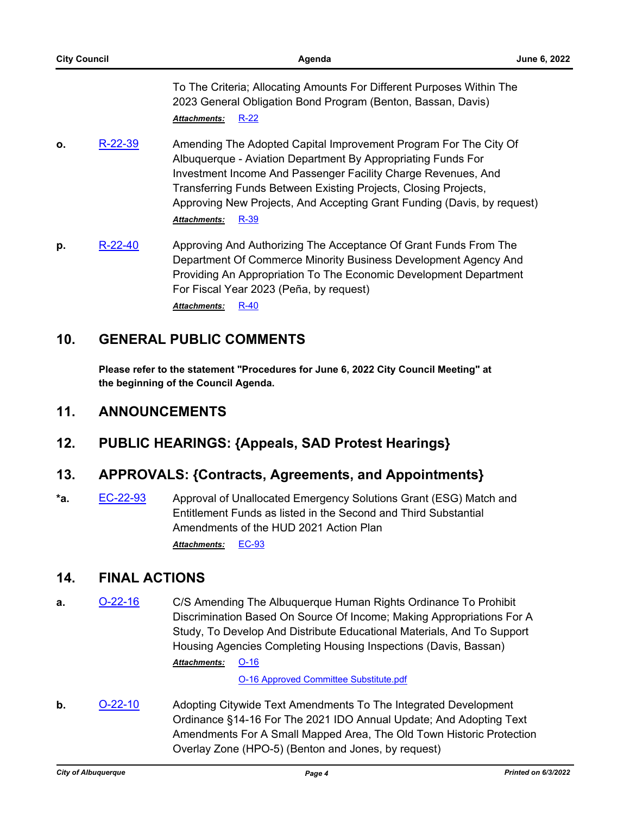| <b>City Council</b> |         | Agenda                                                                                                                                                                                                                                                                                                                                                                         | <b>June 6, 2022</b> |
|---------------------|---------|--------------------------------------------------------------------------------------------------------------------------------------------------------------------------------------------------------------------------------------------------------------------------------------------------------------------------------------------------------------------------------|---------------------|
|                     |         | To The Criteria; Allocating Amounts For Different Purposes Within The<br>2023 General Obligation Bond Program (Benton, Bassan, Davis)<br>$R-22$<br><b>Attachments:</b>                                                                                                                                                                                                         |                     |
| $\mathbf{o}$ .      | R-22-39 | Amending The Adopted Capital Improvement Program For The City Of<br>Albuquerque - Aviation Department By Appropriating Funds For<br>Investment Income And Passenger Facility Charge Revenues, And<br>Transferring Funds Between Existing Projects, Closing Projects,<br>Approving New Projects, And Accepting Grant Funding (Davis, by request)<br>R-39<br><b>Attachments:</b> |                     |
| p.                  | R-22-40 | Approving And Authorizing The Acceptance Of Grant Funds From The<br>Department Of Commerce Minority Business Development Agency And                                                                                                                                                                                                                                            |                     |

Providing An Appropriation To The Economic Development Department For Fiscal Year 2023 (Peña, by request) *Attachments:* [R-40](http://cabq.legistar.com/gateway.aspx?M=F&ID=684e3f6a-a067-4d9a-b789-5d00e6569d48.pdf)

## **10. GENERAL PUBLIC COMMENTS**

**Please refer to the statement "Procedures for June 6, 2022 City Council Meeting" at the beginning of the Council Agenda.**

## **11. ANNOUNCEMENTS**

## **12. PUBLIC HEARINGS: {Appeals, SAD Protest Hearings}**

## **13. APPROVALS: {Contracts, Agreements, and Appointments}**

**\*a.** [EC-22-93](http://cabq.legistar.com/gateway.aspx?m=l&id=/matter.aspx?key=12960) Approval of Unallocated Emergency Solutions Grant (ESG) Match and Entitlement Funds as listed in the Second and Third Substantial Amendments of the HUD 2021 Action Plan *Attachments:* [EC-93](http://cabq.legistar.com/gateway.aspx?M=F&ID=b7de5f42-31f3-4b9b-91a0-e28c34d2bd63.pdf)

## **14. FINAL ACTIONS**

**a.** [O-22-16](http://cabq.legistar.com/gateway.aspx?m=l&id=/matter.aspx?key=12859) C/S Amending The Albuquerque Human Rights Ordinance To Prohibit Discrimination Based On Source Of Income; Making Appropriations For A Study, To Develop And Distribute Educational Materials, And To Support Housing Agencies Completing Housing Inspections (Davis, Bassan)

[O-16](http://cabq.legistar.com/gateway.aspx?M=F&ID=a6129e7c-875d-486a-8030-e5cf3e15eb02.pdf) *Attachments:*

[O-16 Approved Committee Substitute.pdf](http://cabq.legistar.com/gateway.aspx?M=F&ID=d9e203ba-d5dc-4526-9126-3975c4745b4a.pdf)

**b. [O-22-10](http://cabq.legistar.com/gateway.aspx?m=l&id=/matter.aspx?key=12818)** Adopting Citywide Text Amendments To The Integrated Development Ordinance §14-16 For The 2021 IDO Annual Update; And Adopting Text Amendments For A Small Mapped Area, The Old Town Historic Protection Overlay Zone (HPO-5) (Benton and Jones, by request)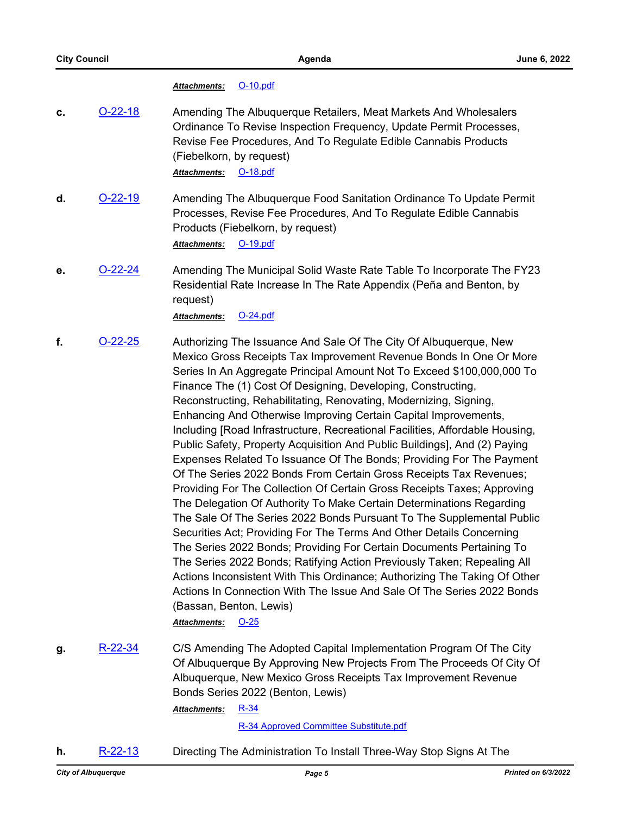#### *Attachments:* [O-10.pdf](http://cabq.legistar.com/gateway.aspx?M=F&ID=abaf376f-b416-480b-9de7-fc4697252622.pdf)

- **c. [O-22-18](http://cabq.legistar.com/gateway.aspx?m=l&id=/matter.aspx?key=12881)** Amending The Albuquerque Retailers, Meat Markets And Wholesalers Ordinance To Revise Inspection Frequency, Update Permit Processes, Revise Fee Procedures, And To Regulate Edible Cannabis Products (Fiebelkorn, by request) *Attachments:* [O-18.pdf](http://cabq.legistar.com/gateway.aspx?M=F&ID=83d7247f-34fc-4d0a-8fdb-791e03bfa747.pdf)
- **d. [O-22-19](http://cabq.legistar.com/gateway.aspx?m=l&id=/matter.aspx?key=12882)** Amending The Albuquerque Food Sanitation Ordinance To Update Permit Processes, Revise Fee Procedures, And To Regulate Edible Cannabis Products (Fiebelkorn, by request)

*Attachments:* [O-19.pdf](http://cabq.legistar.com/gateway.aspx?M=F&ID=317091a1-36cb-41d6-9bd7-18fe0987bdbb.pdf)

**e. [O-22-24](http://cabq.legistar.com/gateway.aspx?m=l&id=/matter.aspx?key=12920)** Amending The Municipal Solid Waste Rate Table To Incorporate The FY23 Residential Rate Increase In The Rate Appendix (Peña and Benton, by request)

*Attachments:* [O-24.pdf](http://cabq.legistar.com/gateway.aspx?M=F&ID=61dd5b3f-6063-4cb7-ba61-f03508a61f11.pdf)

**f.** [O-22-25](http://cabq.legistar.com/gateway.aspx?m=l&id=/matter.aspx?key=12921) Authorizing The Issuance And Sale Of The City Of Albuquerque, New Mexico Gross Receipts Tax Improvement Revenue Bonds In One Or More Series In An Aggregate Principal Amount Not To Exceed \$100,000,000 To Finance The (1) Cost Of Designing, Developing, Constructing, Reconstructing, Rehabilitating, Renovating, Modernizing, Signing, Enhancing And Otherwise Improving Certain Capital Improvements, Including [Road Infrastructure, Recreational Facilities, Affordable Housing, Public Safety, Property Acquisition And Public Buildings], And (2) Paying Expenses Related To Issuance Of The Bonds; Providing For The Payment Of The Series 2022 Bonds From Certain Gross Receipts Tax Revenues; Providing For The Collection Of Certain Gross Receipts Taxes; Approving The Delegation Of Authority To Make Certain Determinations Regarding The Sale Of The Series 2022 Bonds Pursuant To The Supplemental Public Securities Act; Providing For The Terms And Other Details Concerning The Series 2022 Bonds; Providing For Certain Documents Pertaining To The Series 2022 Bonds; Ratifying Action Previously Taken; Repealing All Actions Inconsistent With This Ordinance; Authorizing The Taking Of Other Actions In Connection With The Issue And Sale Of The Series 2022 Bonds (Bassan, Benton, Lewis)

*Attachments:* [O-25](http://cabq.legistar.com/gateway.aspx?M=F&ID=84a2a113-4872-4b91-85d6-50e2e5b3cfae.pdf)

**g.** [R-22-34](http://cabq.legistar.com/gateway.aspx?m=l&id=/matter.aspx?key=12922) C/S Amending The Adopted Capital Implementation Program Of The City Of Albuquerque By Approving New Projects From The Proceeds Of City Of Albuquerque, New Mexico Gross Receipts Tax Improvement Revenue Bonds Series 2022 (Benton, Lewis)

> [R-34](http://cabq.legistar.com/gateway.aspx?M=F&ID=6d1f7d04-ecbf-4823-b7bf-cd7832ab1850.pdf) *Attachments:*

> > [R-34 Approved Committee Substitute.pdf](http://cabq.legistar.com/gateway.aspx?M=F&ID=265cf865-c018-49f3-8781-cc654086a4e4.pdf)

**h.** [R-22-13](http://cabq.legistar.com/gateway.aspx?m=l&id=/matter.aspx?key=12858) Directing The Administration To Install Three-Way Stop Signs At The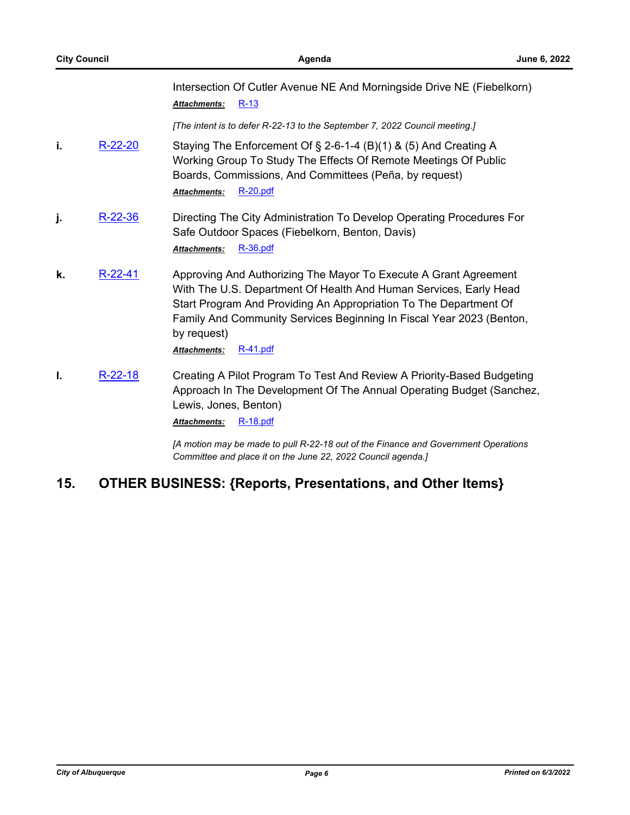Intersection Of Cutler Avenue NE And Morningside Drive NE (Fiebelkorn) *Attachments:* [R-13](http://cabq.legistar.com/gateway.aspx?M=F&ID=8bfb9466-03e1-4a31-a6e3-87f125ab9b20.pdf)

*[The intent is to defer R-22-13 to the September 7, 2022 Council meeting.]*

- **i.** [R-22-20](http://cabq.legistar.com/gateway.aspx?m=l&id=/matter.aspx?key=12874) Staying The Enforcement Of  $\S$  2-6-1-4 (B)(1) & (5) And Creating A Working Group To Study The Effects Of Remote Meetings Of Public Boards, Commissions, And Committees (Peña, by request) *Attachments:* [R-20.pdf](http://cabq.legistar.com/gateway.aspx?M=F&ID=ba95656a-e260-4984-94a0-cd3348325e47.pdf)
- **j.** [R-22-36](http://cabq.legistar.com/gateway.aspx?m=l&id=/matter.aspx?key=12935) Directing The City Administration To Develop Operating Procedures For Safe Outdoor Spaces (Fiebelkorn, Benton, Davis) *Attachments:* [R-36.pdf](http://cabq.legistar.com/gateway.aspx?M=F&ID=e739be05-5302-45d9-ab86-014284e33994.pdf)
- **k.** [R-22-41](http://cabq.legistar.com/gateway.aspx?m=l&id=/matter.aspx?key=12940) Approving And Authorizing The Mayor To Execute A Grant Agreement With The U.S. Department Of Health And Human Services, Early Head Start Program And Providing An Appropriation To The Department Of Family And Community Services Beginning In Fiscal Year 2023 (Benton, by request) *Attachments:* [R-41.pdf](http://cabq.legistar.com/gateway.aspx?M=F&ID=cef33f03-8628-4124-b61f-d2c40e8242da.pdf)
- **I.** [R-22-18](http://cabq.legistar.com/gateway.aspx?m=l&id=/matter.aspx?key=12871) Creating A Pilot Program To Test And Review A Priority-Based Budgeting Approach In The Development Of The Annual Operating Budget (Sanchez, Lewis, Jones, Benton) *Attachments:* [R-18.pdf](http://cabq.legistar.com/gateway.aspx?M=F&ID=d73e0668-820c-494b-b6a7-90e64f9618f5.pdf)

*[A motion may be made to pull R-22-18 out of the Finance and Government Operations Committee and place it on the June 22, 2022 Council agenda.]*

## **15. OTHER BUSINESS: {Reports, Presentations, and Other Items}**